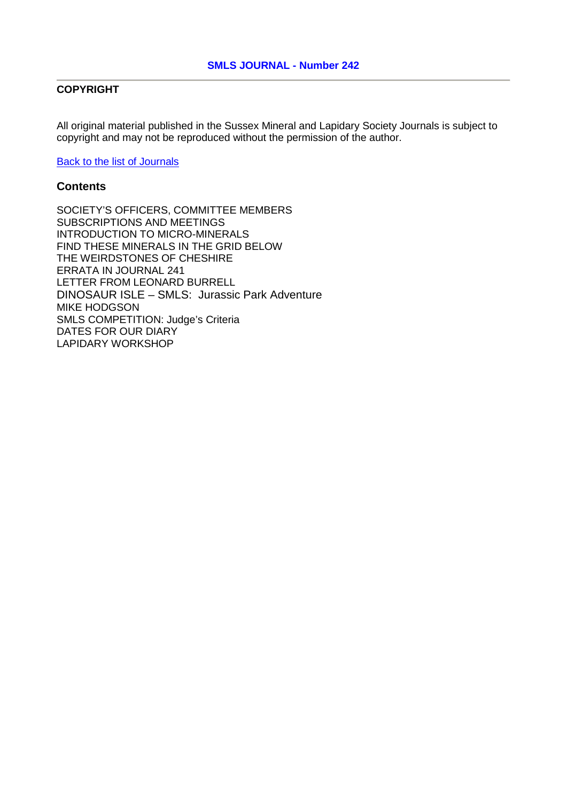### **COPYRIGHT**

All original material published in the Sussex Mineral and Lapidary Society Journals is subject to copyright and may not be reproduced without the permission of the author.

[Back to the list of Journals](http://www.smls.org.uk/Journal/SMLSJournalList.htm)

### **Contents**

SOCIETY'S OFFICERS, COMMITTEE MEMBERS SUBSCRIPTIONS AND MEETINGS INTRODUCTION TO MICRO-MINERALS FIND THESE MINERALS IN THE GRID BELOW THE WEIRDSTONES OF CHESHIRE ERRATA IN JOURNAL 241 LETTER FROM LEONARD BURRELL DINOSAUR ISLE – SMLS: Jurassic Park Adventure MIKE HODGSON SMLS COMPETITION: Judge's Criteria DATES FOR OUR DIARY LAPIDARY WORKSHOP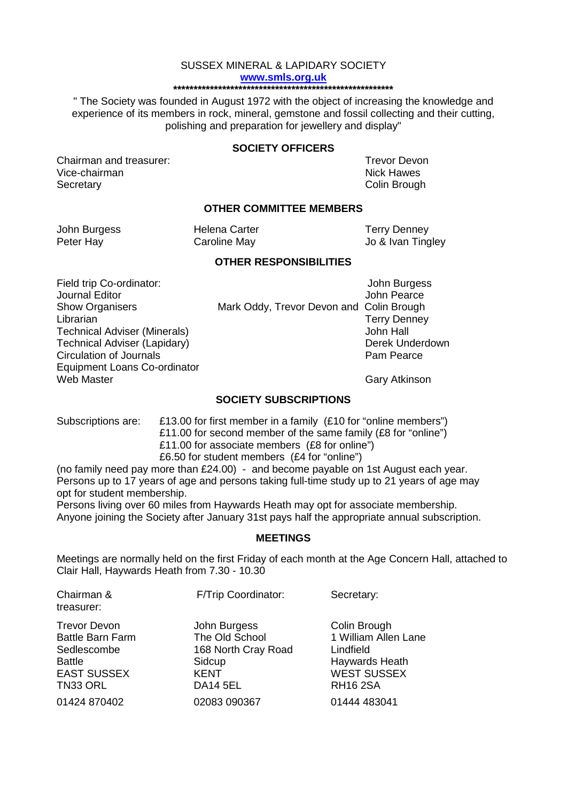#### SUSSEX MINERAL & LAPIDARY SOCIETY **[www.smls.org.uk](http://www.smls.org.uk/) \*\*\*\*\*\*\*\*\*\*\*\*\*\*\*\*\*\*\*\*\*\*\*\*\*\*\*\*\*\*\*\*\*\*\*\*\*\*\*\*\*\*\*\*\*\*\*\*\*\*\*\*\*\***

" The Society was founded in August 1972 with the object of increasing the knowledge and experience of its members in rock, mineral, gemstone and fossil collecting and their cutting, polishing and preparation for jewellery and display"

#### **SOCIETY OFFICERS**

Chairman and treasurer: Trevor Devon<br>
Vice-chairman<br>
Vice-chairman Vice-chairman Secretary Colin Brought Colin Brought Colin Brought Colin Brought Colin Brought Colin Brought Colin Brought Colin Brought Colin Brought Colin Brought Colin Brought Colin Brought Colin Brought Colin Brought Colin Brought Co

#### **OTHER COMMITTEE MEMBERS**

| John Burgess | Helena Carter | <b>Terry Denney</b> |
|--------------|---------------|---------------------|
| Peter Hay    | Caroline May  | Jo & Ivan Tingley   |

#### **OTHER RESPONSIBILITIES**

Field trip Co-ordinator: John Burgess Circulation of Journals Equipment Loans Co-ordinator Web Master Gary Atkinson

Journal Editor John Pearce Show Organisers Mark Oddy, Trevor Devon and Colin Brough Librarian **Terry Denney**<br>
Technical Adviser (Minerals) **Technical Adviser (Minerals**) Technical Adviser (Minerals) John Hall Technical Adviser (Lapidary) detection of Journals and Derek Underdown Derek Under<br>Circulation of Journals

#### **SOCIETY SUBSCRIPTIONS**

Subscriptions are: £13.00 for first member in a family (£10 for "online members") £11.00 for second member of the same family (£8 for "online") £11.00 for associate members (£8 for online") £6.50 for student members (£4 for "online")

(no family need pay more than £24.00) - and become payable on 1st August each year. Persons up to 17 years of age and persons taking full-time study up to 21 years of age may opt for student membership.

Persons living over 60 miles from Haywards Heath may opt for associate membership. Anyone joining the Society after January 31st pays half the appropriate annual subscription.

#### **MEETINGS**

Meetings are normally held on the first Friday of each month at the Age Concern Hall, attached to Clair Hall, Haywards Heath from 7.30 - 10.30

| Chairman &<br>treasurer: | F/Trip Coordinator: | Secretary:           |
|--------------------------|---------------------|----------------------|
| <b>Trevor Devon</b>      | John Burgess        | Colin Brough         |
| <b>Battle Barn Farm</b>  | The Old School      | 1 William Allen Lane |
| Sedlescombe              | 168 North Cray Road | Lindfield            |
| <b>Battle</b>            | Sidcup              | Haywards Heath       |
| <b>EAST SUSSEX</b>       | <b>KENT</b>         | <b>WEST SUSSEX</b>   |
| TN33 ORL                 | <b>DA14 5EL</b>     | <b>RH16 2SA</b>      |
| 01424 870402             | 02083 090367        | 01444 483041         |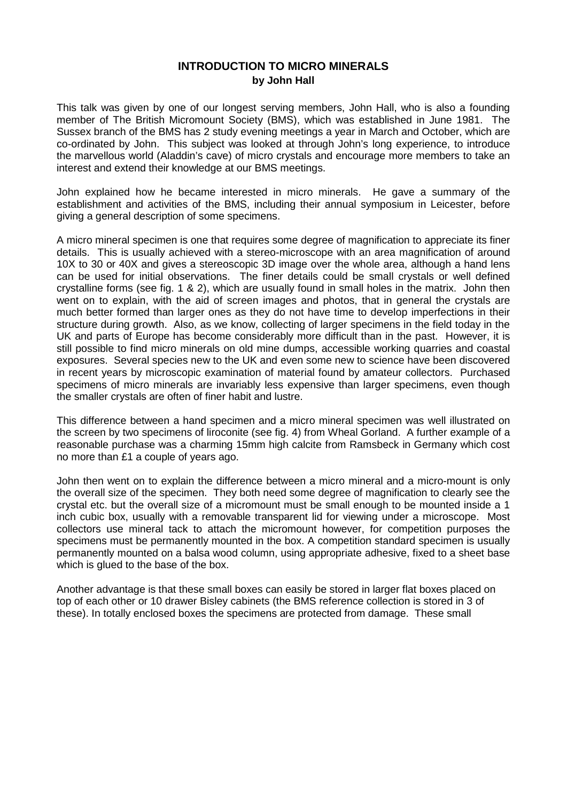## **INTRODUCTION TO MICRO MINERALS by John Hall**

This talk was given by one of our longest serving members, John Hall, who is also a founding member of The British Micromount Society (BMS), which was established in June 1981. The Sussex branch of the BMS has 2 study evening meetings a year in March and October, which are co-ordinated by John. This subject was looked at through John's long experience, to introduce the marvellous world (Aladdin's cave) of micro crystals and encourage more members to take an interest and extend their knowledge at our BMS meetings.

John explained how he became interested in micro minerals. He gave a summary of the establishment and activities of the BMS, including their annual symposium in Leicester, before giving a general description of some specimens.

A micro mineral specimen is one that requires some degree of magnification to appreciate its finer details. This is usually achieved with a stereo-microscope with an area magnification of around 10X to 30 or 40X and gives a stereoscopic 3D image over the whole area, although a hand lens can be used for initial observations. The finer details could be small crystals or well defined crystalline forms (see fig. 1 & 2), which are usually found in small holes in the matrix. John then went on to explain, with the aid of screen images and photos, that in general the crystals are much better formed than larger ones as they do not have time to develop imperfections in their structure during growth. Also, as we know, collecting of larger specimens in the field today in the UK and parts of Europe has become considerably more difficult than in the past. However, it is still possible to find micro minerals on old mine dumps, accessible working quarries and coastal exposures. Several species new to the UK and even some new to science have been discovered in recent years by microscopic examination of material found by amateur collectors. Purchased specimens of micro minerals are invariably less expensive than larger specimens, even though the smaller crystals are often of finer habit and lustre.

This difference between a hand specimen and a micro mineral specimen was well illustrated on the screen by two specimens of liroconite (see fig. 4) from Wheal Gorland. A further example of a reasonable purchase was a charming 15mm high calcite from Ramsbeck in Germany which cost no more than £1 a couple of years ago.

John then went on to explain the difference between a micro mineral and a micro-mount is only the overall size of the specimen. They both need some degree of magnification to clearly see the crystal etc. but the overall size of a micromount must be small enough to be mounted inside a 1 inch cubic box, usually with a removable transparent lid for viewing under a microscope. Most collectors use mineral tack to attach the micromount however, for competition purposes the specimens must be permanently mounted in the box. A competition standard specimen is usually permanently mounted on a balsa wood column, using appropriate adhesive, fixed to a sheet base which is glued to the base of the box.

Another advantage is that these small boxes can easily be stored in larger flat boxes placed on top of each other or 10 drawer Bisley cabinets (the BMS reference collection is stored in 3 of these). In totally enclosed boxes the specimens are protected from damage. These small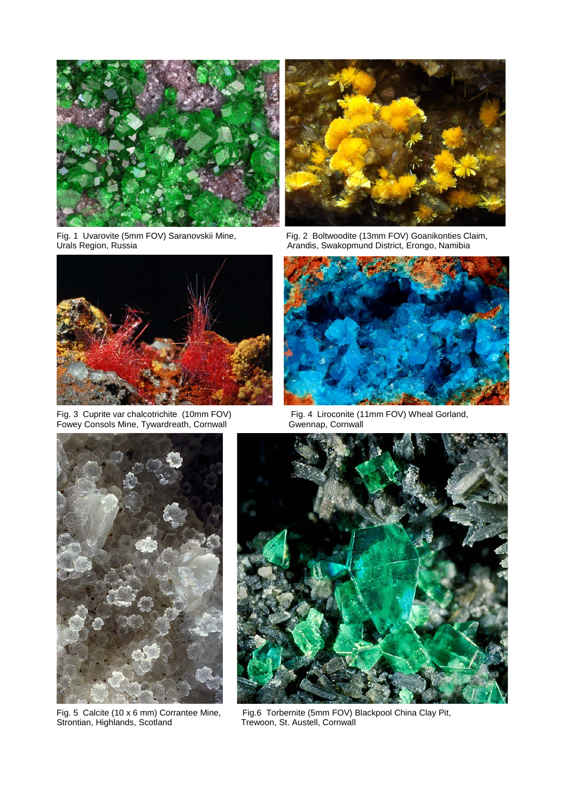

Fig. 1 Uvarovite (5mm FOV) Saranovskii Mine, Urals Region, Russia



Fig. 3 Cuprite var chalcotrichite (10mm FOV)<br>Fowey Consols Mine, Tywardreath, Cornwall



Fig. 2 Boltwoodite (13mm FOV) Goanikonties Claim, Arandis, Swakopmund District, Erongo, Namibia



Fig. 4 Liroconite (11mm FOV) Wheal Gorland, Gwennap, Cornwall



Fig. 5 Calcite (10 x 6 mm) Corrantee Mine, Strontian, Highlands, Scotland



Fig. 6 Torbernite (5mm FOV) Blackpool China Clay Pit, Trewoon, St. Austell, Cornwall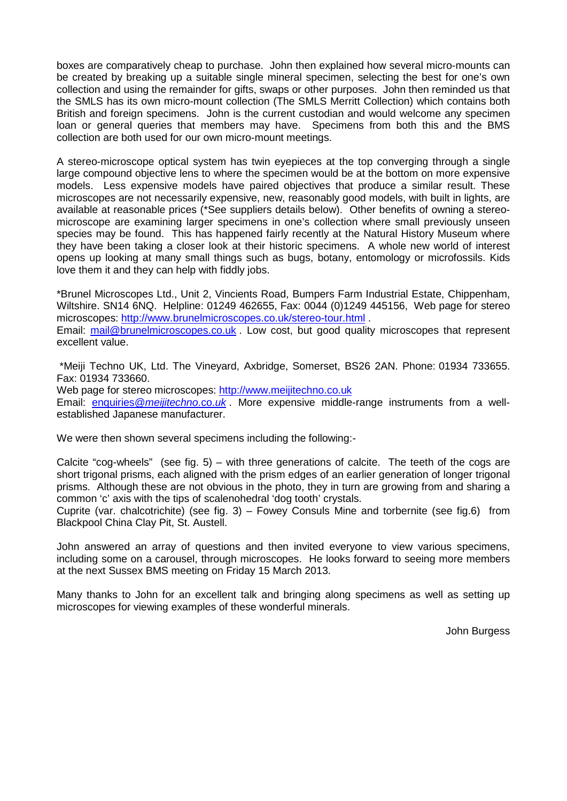boxes are comparatively cheap to purchase. John then explained how several micro-mounts can be created by breaking up a suitable single mineral specimen, selecting the best for one's own collection and using the remainder for gifts, swaps or other purposes. John then reminded us that the SMLS has its own micro-mount collection (The SMLS Merritt Collection) which contains both British and foreign specimens. John is the current custodian and would welcome any specimen loan or general queries that members may have. Specimens from both this and the BMS collection are both used for our own micro-mount meetings.

A stereo-microscope optical system has twin eyepieces at the top converging through a single large compound objective lens to where the specimen would be at the bottom on more expensive models. Less expensive models have paired objectives that produce a similar result. These microscopes are not necessarily expensive, new, reasonably good models, with built in lights, are available at reasonable prices (\*See suppliers details below). Other benefits of owning a stereomicroscope are examining larger specimens in one's collection where small previously unseen species may be found. This has happened fairly recently at the Natural History Museum where they have been taking a closer look at their historic specimens. A whole new world of interest opens up looking at many small things such as bugs, botany, entomology or microfossils. Kids love them it and they can help with fiddly jobs.

\*Brunel Microscopes Ltd., Unit 2, Vincients Road, Bumpers Farm Industrial Estate, Chippenham, Wiltshire. SN14 6NQ. Helpline: 01249 462655, Fax: 0044 (0)1249 445156, Web page for stereo microscopes: <http://www.brunelmicroscopes.co.uk/stereo-tour.html> . Email: [mail@brunelmicroscopes.co.uk](mailto:mail@brunelmicroscopes.co.uk) Low cost, but good quality microscopes that represent excellent value.

\*Meiji Techno UK, Ltd. The Vineyard, Axbridge, Somerset, BS26 2AN. Phone: 01934 733655. Fax: 01934 733660.

Web page for stereo microscopes: [http://www.meijitechno.co.uk](http://www.meijitechno.co.uk/) Email: [enquiries@](mailto:enquiries@meijitechno.co.uk)*meijitechno*.co.*uk* . More expensive middle-range instruments from a wellestablished Japanese manufacturer.

We were then shown several specimens including the following:-

Calcite "cog-wheels" (see fig. 5) – with three generations of calcite. The teeth of the cogs are short trigonal prisms, each aligned with the prism edges of an earlier generation of longer trigonal prisms. Although these are not obvious in the photo, they in turn are growing from and sharing a common 'c' axis with the tips of scalenohedral 'dog tooth' crystals.

Cuprite (var. chalcotrichite) (see fig. 3) – Fowey Consuls Mine and torbernite (see fig.6) from Blackpool China Clay Pit, St. Austell.

John answered an array of questions and then invited everyone to view various specimens, including some on a carousel, through microscopes. He looks forward to seeing more members at the next Sussex BMS meeting on Friday 15 March 2013.

Many thanks to John for an excellent talk and bringing along specimens as well as setting up microscopes for viewing examples of these wonderful minerals.

John Burgess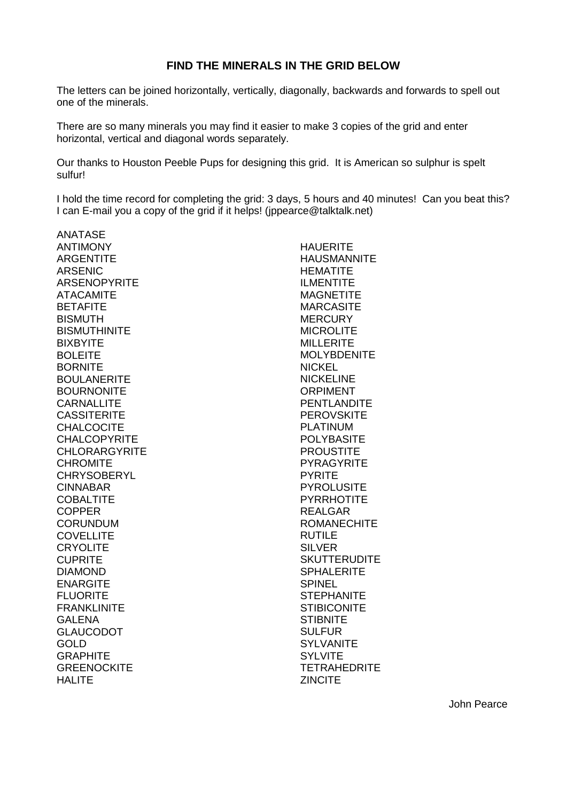### **FIND THE MINERALS IN THE GRID BELOW**

The letters can be joined horizontally, vertically, diagonally, backwards and forwards to spell out one of the minerals.

There are so many minerals you may find it easier to make 3 copies of the grid and enter horizontal, vertical and diagonal words separately.

Our thanks to Houston Peeble Pups for designing this grid. It is American so sulphur is spelt sulfur!

I hold the time record for completing the grid: 3 days, 5 hours and 40 minutes! Can you beat this? I can E-mail you a copy of the grid if it helps! (jppearce@talktalk.net)

ANATASE **ANTIMONY ARGENTITE** ARSENIC ARSENOPYRITE ATACAMITE **BETAFITE BISMUTH BISMUTHINITE** BIXBYITE BOLEITE BORNITE BOULANERITE **BOURNONITE CARNALLITE CASSITERITE CHALCOCITE** CHALCOPYRITE **CHLORARGYRITE CHROMITE CHRYSOBERYL** CINNABAR **COBALTITE** COPPER CORUNDUM **COVELLITE CRYOLITE CUPRITE** DIAMOND ENARGITE FLUORITE FRANKLINITE GALENA GLAUCODOT GOLD **GRAPHITE GREENOCKITE** HALITE

**HAUFRITE** HAUSMANNITE HEMATITE ILMENTITE **MAGNETITE MARCASITE** MERCURY MICROLITE MILLERITE **MOLYBDENITE NICKEL** NICKELINE ORPIMENT PENTLANDITE **PEROVSKITE** PLATINUM POLYBASITE **PROUSTITE PYRAGYRITE** PYRITE **PYROLUSITE PYRRHOTITE** REALGAR ROMANECHITE RUTILE SILVER **SKUTTERUDITE SPHALERITE** SPINEL **STEPHANITE STIBICONITE STIBNITE SULFUR** SYLVANITE **SYLVITE TETRAHEDRITE** ZINCITE

John Pearce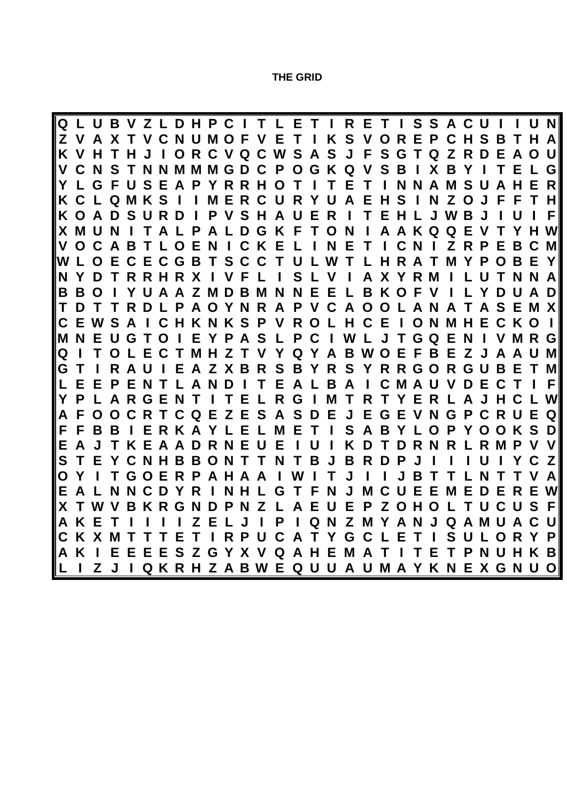**THE GRID**

Q L U B V Z L D H P C I T L E T I R E T I S S A C U I I U N Z V A X T V C N U M O F V E T I K S V O R E P C H S B T H A K V H T H J I O R C V Q C W S A S J F S G T Q Z R D E A O U V C N S T N N M M M G D C P O G K Q V S B I X B Y I T E L G Y L G F U S E A P Y R R H O T I T E T I N N A M S U A H E R<br>K C L Q M K S I I M E R C U R Y U A E H S I N Z O J F F T H K C L Q M K S I I M E R C U R Y U A E H S I N Z O J F F T H<br>K O A D S U R D I P V S H A U E R I T E H L J W B J I U I F KOADSURDIPVSHAUERITEHLJWBJIUIF X M U N I T A L P A L D G K F T O N I A A K Q Q E V T Y H W<br>V O C A B T L O E N I C K E L I N E T I C N I Z R P E B C M VOCABTLOENICKELINETICNIZRPEBCM W L O E C E C G B T S C C T U L W T L H R A T M Y P O B E Y<br>N Y D T R R H R X I V F L I S L V I A X Y R M I L U T N N A N Y D T R R H R X I V F L I S L V I A X Y R M I L U T N N A B B O I Y U A A Z M D B M N N E E L B K O F V I L Y D U A D<br>T D T T R D L P A O Y N R A P V C A O O L A N A T A S E M X T D T T R D L P A O Y N R A P V C A O O L A N A T A S E M X C E W S A I C H K N K S P V R O L H C E I O N M H E C K O I MNEUGTOIEYPASLPCIWLJTGQENIVMRG Q I T O L E C T M H Z T V Y Q Y A B W O E F B E Z J A A U M G T I R A U I E A Z X B R S B Y R S Y R R G O R G U B E T M<br>L E E P E N T L A N D I T E A L B A I C M A U V D E C T I F L E E P E N T L A N D I T E A L B A I C M A U V D E C T I F Y P L A R G E N T I T E L R G I M T R T Y E R L A J H C L W A F O O C R T C Q E Z E S A S D E J E G E V N G P C R U E Q F F B B I E R K A Y L E L M E T I S A B Y L O P Y O O K S D E A J T K E A A D R N E U E I U I K D T D R N R L R M P V V S T E Y C N H B B O N T T N T B J B R D P J I I I U I Y C Z<br>O Y I T G O E R P A H A A I W I T J I I J B T T L N T T V A O Y I T G O E R P A H A A I W I T J I I J B T T L N T T V A E A L N N C D Y R I N H L G T F N J M C U E E M E D E R E W<br>X T W V B K R G N D P N Z L A E U E P Z O H O L T U C U S F X T W V B K R G N D P N Z L A E U E P Z O H O L T U C U S F A K E T I I I I I Z E L J I P I Q N Z M Y A N J Q A M U A C U<br>C K X M T T T E T I R P U C A T Y G C L E T I S U L O R Y P C K X M T T T E T I R P U C A T Y G C L E T I S U L O R Y P<br>A K I E E E E S Z G Y X V Q A H E M A T I T E T P N U H K B A K I E E E E S Z G Y X V Q A H E M A T I T E T P N U H K B Z J I Q K R H Z A B W E Q U U A U M A Y K N E X G N U O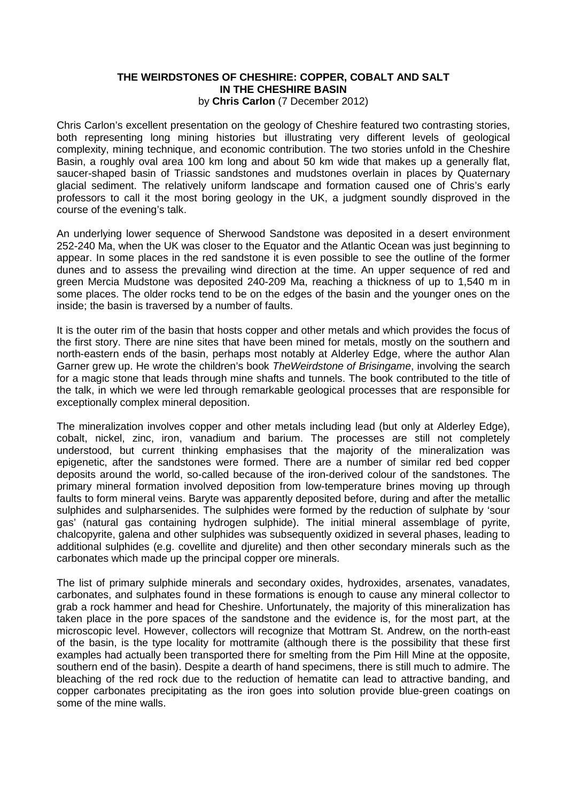#### **THE WEIRDSTONES OF CHESHIRE: COPPER, COBALT AND SALT IN THE CHESHIRE BASIN**  by **Chris Carlon** (7 December 2012)

Chris Carlon's excellent presentation on the geology of Cheshire featured two contrasting stories, both representing long mining histories but illustrating very different levels of geological complexity, mining technique, and economic contribution. The two stories unfold in the Cheshire Basin, a roughly oval area 100 km long and about 50 km wide that makes up a generally flat, saucer-shaped basin of Triassic sandstones and mudstones overlain in places by Quaternary glacial sediment. The relatively uniform landscape and formation caused one of Chris's early professors to call it the most boring geology in the UK, a judgment soundly disproved in the course of the evening's talk.

An underlying lower sequence of Sherwood Sandstone was deposited in a desert environment 252-240 Ma, when the UK was closer to the Equator and the Atlantic Ocean was just beginning to appear. In some places in the red sandstone it is even possible to see the outline of the former dunes and to assess the prevailing wind direction at the time. An upper sequence of red and green Mercia Mudstone was deposited 240-209 Ma, reaching a thickness of up to 1,540 m in some places. The older rocks tend to be on the edges of the basin and the younger ones on the inside; the basin is traversed by a number of faults.

It is the outer rim of the basin that hosts copper and other metals and which provides the focus of the first story. There are nine sites that have been mined for metals, mostly on the southern and north-eastern ends of the basin, perhaps most notably at Alderley Edge, where the author Alan Garner grew up. He wrote the children's book *TheWeirdstone of Brisingame*, involving the search for a magic stone that leads through mine shafts and tunnels. The book contributed to the title of the talk, in which we were led through remarkable geological processes that are responsible for exceptionally complex mineral deposition.

The mineralization involves copper and other metals including lead (but only at Alderley Edge), cobalt, nickel, zinc, iron, vanadium and barium. The processes are still not completely understood, but current thinking emphasises that the majority of the mineralization was epigenetic, after the sandstones were formed. There are a number of similar red bed copper deposits around the world, so-called because of the iron-derived colour of the sandstones. The primary mineral formation involved deposition from low-temperature brines moving up through faults to form mineral veins. Baryte was apparently deposited before, during and after the metallic sulphides and sulpharsenides. The sulphides were formed by the reduction of sulphate by 'sour gas' (natural gas containing hydrogen sulphide). The initial mineral assemblage of pyrite, chalcopyrite, galena and other sulphides was subsequently oxidized in several phases, leading to additional sulphides (e.g. covellite and djurelite) and then other secondary minerals such as the carbonates which made up the principal copper ore minerals.

The list of primary sulphide minerals and secondary oxides, hydroxides, arsenates, vanadates, carbonates, and sulphates found in these formations is enough to cause any mineral collector to grab a rock hammer and head for Cheshire. Unfortunately, the majority of this mineralization has taken place in the pore spaces of the sandstone and the evidence is, for the most part, at the microscopic level. However, collectors will recognize that Mottram St. Andrew, on the north-east of the basin, is the type locality for mottramite (although there is the possibility that these first examples had actually been transported there for smelting from the Pim Hill Mine at the opposite, southern end of the basin). Despite a dearth of hand specimens, there is still much to admire. The bleaching of the red rock due to the reduction of hematite can lead to attractive banding, and copper carbonates precipitating as the iron goes into solution provide blue-green coatings on some of the mine walls.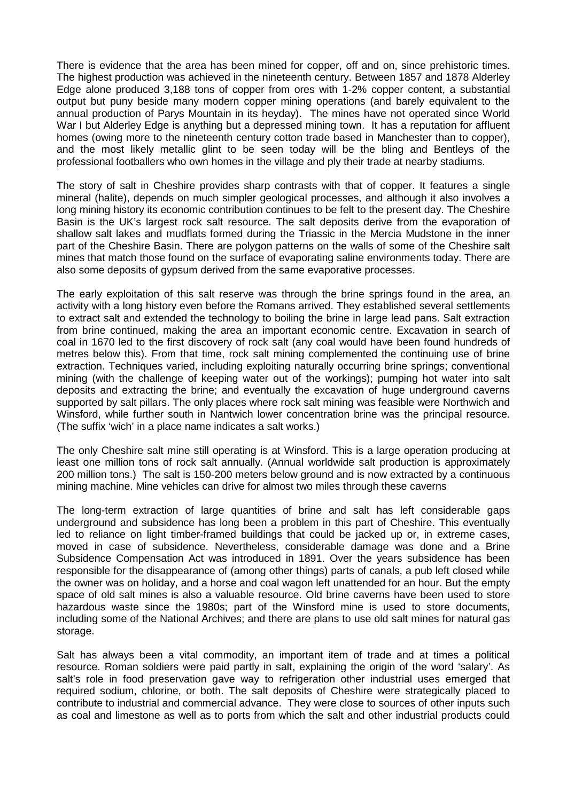There is evidence that the area has been mined for copper, off and on, since prehistoric times. The highest production was achieved in the nineteenth century. Between 1857 and 1878 Alderley Edge alone produced 3,188 tons of copper from ores with 1-2% copper content, a substantial output but puny beside many modern copper mining operations (and barely equivalent to the annual production of Parys Mountain in its heyday). The mines have not operated since World War I but Alderley Edge is anything but a depressed mining town. It has a reputation for affluent homes (owing more to the nineteenth century cotton trade based in Manchester than to copper), and the most likely metallic glint to be seen today will be the bling and Bentleys of the professional footballers who own homes in the village and ply their trade at nearby stadiums.

The story of salt in Cheshire provides sharp contrasts with that of copper. It features a single mineral (halite), depends on much simpler geological processes, and although it also involves a long mining history its economic contribution continues to be felt to the present day. The Cheshire Basin is the UK's largest rock salt resource. The salt deposits derive from the evaporation of shallow salt lakes and mudflats formed during the Triassic in the Mercia Mudstone in the inner part of the Cheshire Basin. There are polygon patterns on the walls of some of the Cheshire salt mines that match those found on the surface of evaporating saline environments today. There are also some deposits of gypsum derived from the same evaporative processes.

The early exploitation of this salt reserve was through the brine springs found in the area, an activity with a long history even before the Romans arrived. They established several settlements to extract salt and extended the technology to boiling the brine in large lead pans. Salt extraction from brine continued, making the area an important economic centre. Excavation in search of coal in 1670 led to the first discovery of rock salt (any coal would have been found hundreds of metres below this). From that time, rock salt mining complemented the continuing use of brine extraction. Techniques varied, including exploiting naturally occurring brine springs; conventional mining (with the challenge of keeping water out of the workings); pumping hot water into salt deposits and extracting the brine; and eventually the excavation of huge underground caverns supported by salt pillars. The only places where rock salt mining was feasible were Northwich and Winsford, while further south in Nantwich lower concentration brine was the principal resource. (The suffix 'wich' in a place name indicates a salt works.)

The only Cheshire salt mine still operating is at Winsford. This is a large operation producing at least one million tons of rock salt annually. (Annual worldwide salt production is approximately 200 million tons.) The salt is 150-200 meters below ground and is now extracted by a continuous mining machine. Mine vehicles can drive for almost two miles through these caverns

The long-term extraction of large quantities of brine and salt has left considerable gaps underground and subsidence has long been a problem in this part of Cheshire. This eventually led to reliance on light timber-framed buildings that could be jacked up or, in extreme cases, moved in case of subsidence. Nevertheless, considerable damage was done and a Brine Subsidence Compensation Act was introduced in 1891. Over the years subsidence has been responsible for the disappearance of (among other things) parts of canals, a pub left closed while the owner was on holiday, and a horse and coal wagon left unattended for an hour. But the empty space of old salt mines is also a valuable resource. Old brine caverns have been used to store hazardous waste since the 1980s; part of the Winsford mine is used to store documents, including some of the National Archives; and there are plans to use old salt mines for natural gas storage.

Salt has always been a vital commodity, an important item of trade and at times a political resource. Roman soldiers were paid partly in salt, explaining the origin of the word 'salary'. As salt's role in food preservation gave way to refrigeration other industrial uses emerged that required sodium, chlorine, or both. The salt deposits of Cheshire were strategically placed to contribute to industrial and commercial advance. They were close to sources of other inputs such as coal and limestone as well as to ports from which the salt and other industrial products could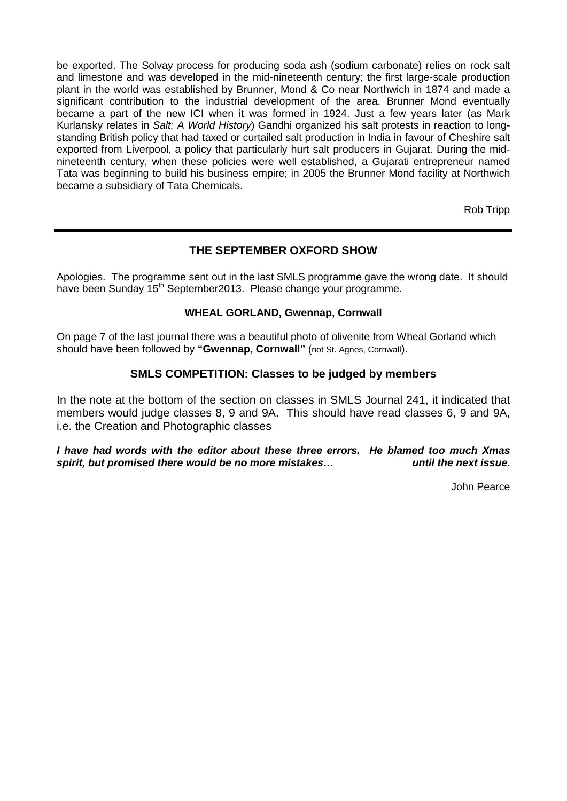be exported. The Solvay process for producing soda ash (sodium carbonate) relies on rock salt and limestone and was developed in the mid-nineteenth century; the first large-scale production plant in the world was established by Brunner, Mond & Co near Northwich in 1874 and made a significant contribution to the industrial development of the area. Brunner Mond eventually became a part of the new ICI when it was formed in 1924. Just a few years later (as Mark Kurlansky relates in *Salt: A World History*) Gandhi organized his salt protests in reaction to longstanding British policy that had taxed or curtailed salt production in India in favour of Cheshire salt exported from Liverpool, a policy that particularly hurt salt producers in Gujarat. During the midnineteenth century, when these policies were well established, a Gujarati entrepreneur named Tata was beginning to build his business empire; in 2005 the Brunner Mond facility at Northwich became a subsidiary of Tata Chemicals.

Rob Tripp

# **THE SEPTEMBER OXFORD SHOW**

Apologies. The programme sent out in the last SMLS programme gave the wrong date. It should have been Sunday 15<sup>th</sup> September2013. Please change your programme.

### **WHEAL GORLAND, Gwennap, Cornwall**

On page 7 of the last journal there was a beautiful photo of olivenite from Wheal Gorland which should have been followed by "**Gwennap, Cornwall**" (not St. Agnes, Cornwall).

## **SMLS COMPETITION: Classes to be judged by members**

In the note at the bottom of the section on classes in SMLS Journal 241, it indicated that members would judge classes 8, 9 and 9A. This should have read classes 6, 9 and 9A, i.e. the Creation and Photographic classes

*I have had words with the editor about these three errors. He blamed too much Xmas*  spirit, but promised there would be no more mistakes...

John Pearce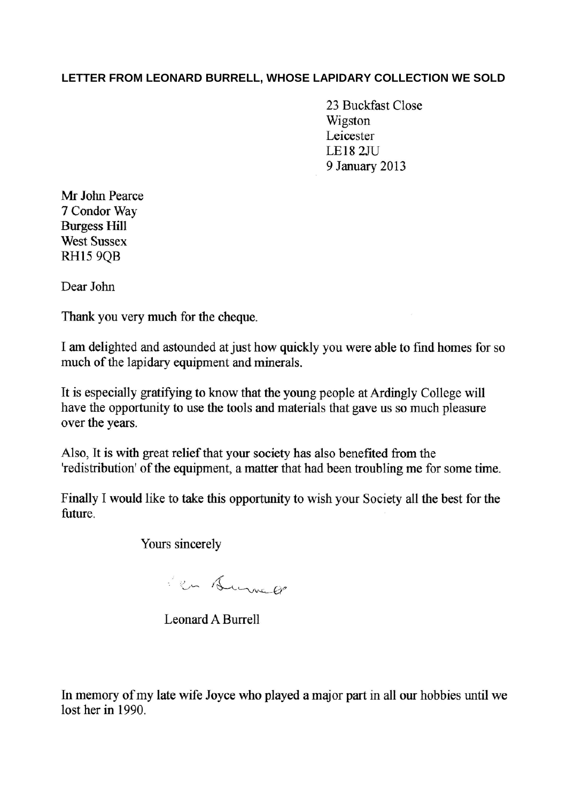# **LETTER FROM LEONARD BURRELL, WHOSE LAPIDARY COLLECTION WE SOLD**

23 Buckfast Close Wigston Leicester **LE18 2JU** 9 January 2013

Mr John Pearce 7 Condor Way **Burgess Hill West Sussex RH15 9OB** 

Dear John

Thank you very much for the cheque.

I am delighted and astounded at just how quickly you were able to find homes for so much of the lapidary equipment and minerals.

It is especially gratifying to know that the young people at Ardingly College will have the opportunity to use the tools and materials that gave us so much pleasure over the years.

Also, It is with great relief that your society has also benefited from the 'redistribution' of the equipment, a matter that had been troubling me for some time.

Finally I would like to take this opportunity to wish your Society all the best for the future.

Yours sincerely

i en Surve en

**Leonard A Burrell** 

In memory of my late wife Joyce who played a major part in all our hobbies until we lost her in 1990.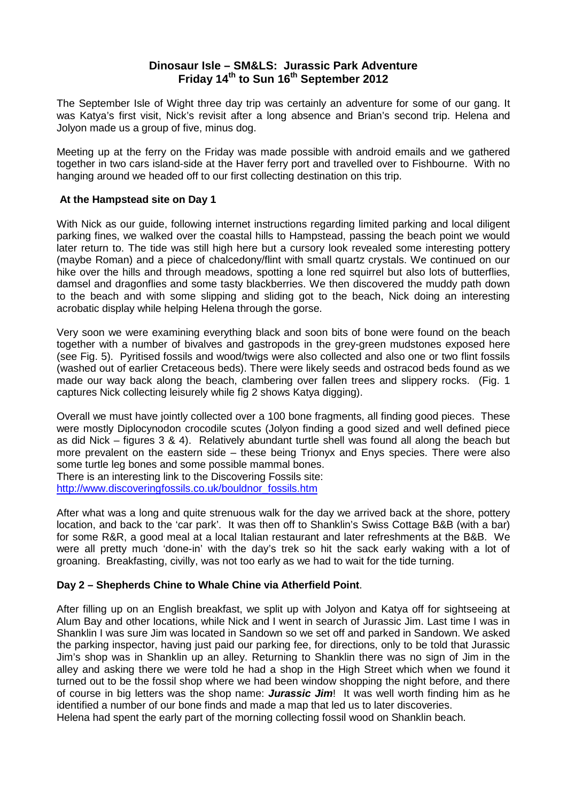## **Dinosaur Isle – SM&LS: Jurassic Park Adventure Friday 14th to Sun 16th September 2012**

The September Isle of Wight three day trip was certainly an adventure for some of our gang. It was Katya's first visit, Nick's revisit after a long absence and Brian's second trip. Helena and Jolyon made us a group of five, minus dog.

Meeting up at the ferry on the Friday was made possible with android emails and we gathered together in two cars island-side at the Haver ferry port and travelled over to Fishbourne. With no hanging around we headed off to our first collecting destination on this trip.

### **At the Hampstead site on Day 1**

With Nick as our guide, following internet instructions regarding limited parking and local diligent parking fines, we walked over the coastal hills to Hampstead, passing the beach point we would later return to. The tide was still high here but a cursory look revealed some interesting pottery (maybe Roman) and a piece of chalcedony/flint with small quartz crystals. We continued on our hike over the hills and through meadows, spotting a lone red squirrel but also lots of butterflies, damsel and dragonflies and some tasty blackberries. We then discovered the muddy path down to the beach and with some slipping and sliding got to the beach, Nick doing an interesting acrobatic display while helping Helena through the gorse.

Very soon we were examining everything black and soon bits of bone were found on the beach together with a number of bivalves and gastropods in the grey-green mudstones exposed here (see Fig. 5). Pyritised fossils and wood/twigs were also collected and also one or two flint fossils (washed out of earlier Cretaceous beds). There were likely seeds and ostracod beds found as we made our way back along the beach, clambering over fallen trees and slippery rocks. (Fig. 1 captures Nick collecting leisurely while fig 2 shows Katya digging).

Overall we must have jointly collected over a 100 bone fragments, all finding good pieces. These were mostly Diplocynodon crocodile scutes (Jolyon finding a good sized and well defined piece as did Nick – figures 3 & 4). Relatively abundant turtle shell was found all along the beach but more prevalent on the eastern side – these being Trionyx and Enys species. There were also some turtle leg bones and some possible mammal bones.

There is an interesting link to the Discovering Fossils site: [http://www.discoveringfossils.co.uk/bouldnor\\_fossils.htm](http://www.discoveringfossils.co.uk/bouldnor_fossils.htm)

After what was a long and quite strenuous walk for the day we arrived back at the shore, pottery location, and back to the 'car park'. It was then off to Shanklin's Swiss Cottage B&B (with a bar) for some R&R, a good meal at a local Italian restaurant and later refreshments at the B&B. We were all pretty much 'done-in' with the day's trek so hit the sack early waking with a lot of groaning. Breakfasting, civilly, was not too early as we had to wait for the tide turning.

### **Day 2 – Shepherds Chine to Whale Chine via Atherfield Point**.

After filling up on an English breakfast, we split up with Jolyon and Katya off for sightseeing at Alum Bay and other locations, while Nick and I went in search of Jurassic Jim. Last time I was in Shanklin I was sure Jim was located in Sandown so we set off and parked in Sandown. We asked the parking inspector, having just paid our parking fee, for directions, only to be told that Jurassic Jim's shop was in Shanklin up an alley. Returning to Shanklin there was no sign of Jim in the alley and asking there we were told he had a shop in the High Street which when we found it turned out to be the fossil shop where we had been window shopping the night before, and there of course in big letters was the shop name: *Jurassic Jim*! It was well worth finding him as he identified a number of our bone finds and made a map that led us to later discoveries.

Helena had spent the early part of the morning collecting fossil wood on Shanklin beach.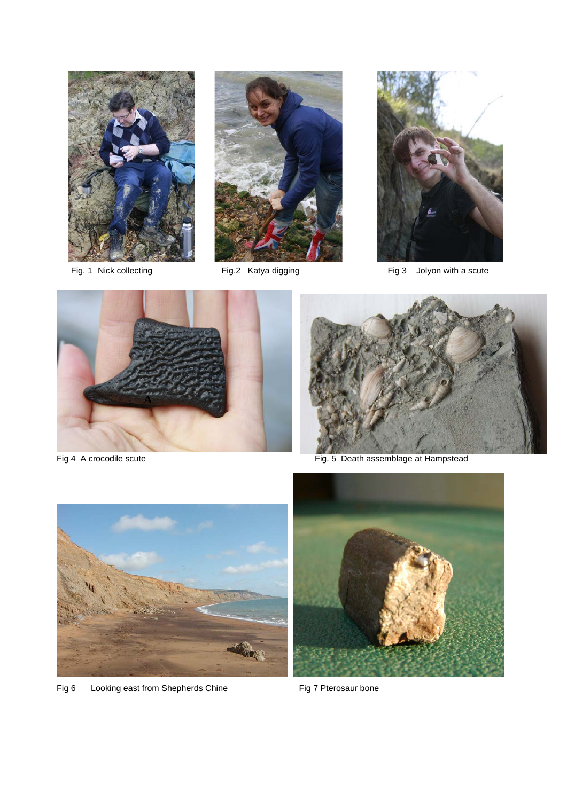





Fig. 1 Nick collecting Fig.2 Katya digging Fig. 3 Jolyon with a scute





Fig 4 A crocodile scute Fig. 5 Death assemblage at Hampstead



Fig 6 Looking east from Shepherds Chine Fig 7 Pterosaur bone

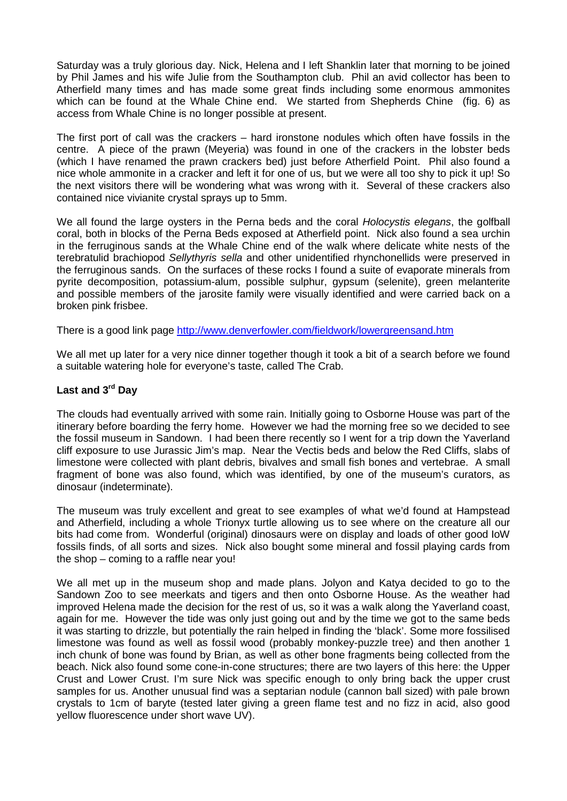Saturday was a truly glorious day. Nick, Helena and I left Shanklin later that morning to be joined by Phil James and his wife Julie from the Southampton club. Phil an avid collector has been to Atherfield many times and has made some great finds including some enormous ammonites which can be found at the Whale Chine end. We started from Shepherds Chine (fig. 6) as access from Whale Chine is no longer possible at present.

The first port of call was the crackers – hard ironstone nodules which often have fossils in the centre. A piece of the prawn (Meyeria) was found in one of the crackers in the lobster beds (which I have renamed the prawn crackers bed) just before Atherfield Point. Phil also found a nice whole ammonite in a cracker and left it for one of us, but we were all too shy to pick it up! So the next visitors there will be wondering what was wrong with it. Several of these crackers also contained nice vivianite crystal sprays up to 5mm.

We all found the large oysters in the Perna beds and the coral *Holocystis elegans*, the golfball coral, both in blocks of the Perna Beds exposed at Atherfield point. Nick also found a sea urchin in the ferruginous sands at the Whale Chine end of the walk where delicate white nests of the terebratulid brachiopod *Sellythyris sella* and other unidentified rhynchonellids were preserved in the ferruginous sands. On the surfaces of these rocks I found a suite of evaporate minerals from pyrite decomposition, potassium-alum, possible sulphur, gypsum (selenite), green melanterite and possible members of the jarosite family were visually identified and were carried back on a broken pink frisbee.

There is a good link page<http://www.denverfowler.com/fieldwork/lowergreensand.htm>

We all met up later for a very nice dinner together though it took a bit of a search before we found a suitable watering hole for everyone's taste, called The Crab.

### **Last and 3rd Day**

The clouds had eventually arrived with some rain. Initially going to Osborne House was part of the itinerary before boarding the ferry home. However we had the morning free so we decided to see the fossil museum in Sandown. I had been there recently so I went for a trip down the Yaverland cliff exposure to use Jurassic Jim's map. Near the Vectis beds and below the Red Cliffs, slabs of limestone were collected with plant debris, bivalves and small fish bones and vertebrae. A small fragment of bone was also found, which was identified, by one of the museum's curators, as dinosaur (indeterminate).

The museum was truly excellent and great to see examples of what we'd found at Hampstead and Atherfield, including a whole Trionyx turtle allowing us to see where on the creature all our bits had come from. Wonderful (original) dinosaurs were on display and loads of other good IoW fossils finds, of all sorts and sizes. Nick also bought some mineral and fossil playing cards from the shop – coming to a raffle near you!

We all met up in the museum shop and made plans. Jolyon and Katya decided to go to the Sandown Zoo to see meerkats and tigers and then onto Osborne House. As the weather had improved Helena made the decision for the rest of us, so it was a walk along the Yaverland coast, again for me. However the tide was only just going out and by the time we got to the same beds it was starting to drizzle, but potentially the rain helped in finding the 'black'. Some more fossilised limestone was found as well as fossil wood (probably monkey-puzzle tree) and then another 1 inch chunk of bone was found by Brian, as well as other bone fragments being collected from the beach. Nick also found some cone-in-cone structures; there are two layers of this here: the Upper Crust and Lower Crust. I'm sure Nick was specific enough to only bring back the upper crust samples for us. Another unusual find was a septarian nodule (cannon ball sized) with pale brown crystals to 1cm of baryte (tested later giving a green flame test and no fizz in acid, also good yellow fluorescence under short wave UV).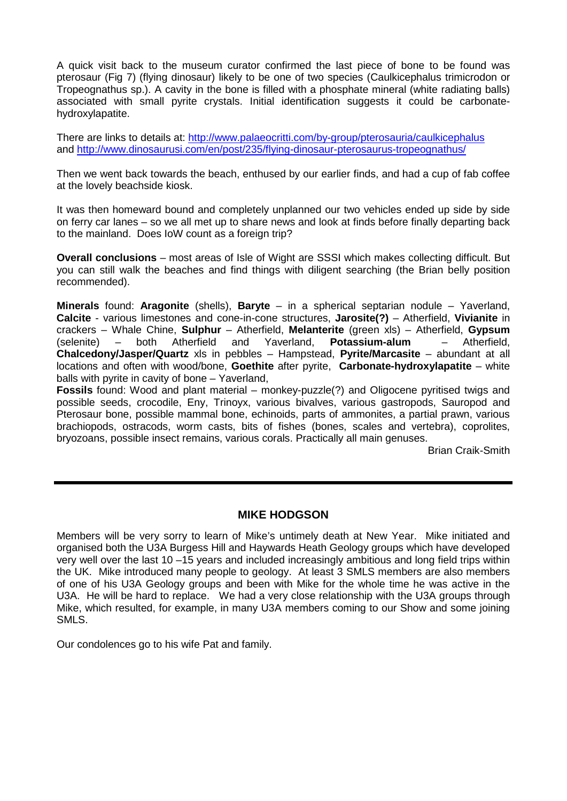A quick visit back to the museum curator confirmed the last piece of bone to be found was pterosaur (Fig 7) (flying dinosaur) likely to be one of two species (Caulkicephalus trimicrodon or Tropeognathus sp.). A cavity in the bone is filled with a phosphate mineral (white radiating balls) associated with small pyrite crystals. Initial identification suggests it could be carbonatehydroxylapatite.

There are links to details at:<http://www.palaeocritti.com/by-group/pterosauria/caulkicephalus> and<http://www.dinosaurusi.com/en/post/235/flying-dinosaur-pterosaurus-tropeognathus/>

Then we went back towards the beach, enthused by our earlier finds, and had a cup of fab coffee at the lovely beachside kiosk.

It was then homeward bound and completely unplanned our two vehicles ended up side by side on ferry car lanes – so we all met up to share news and look at finds before finally departing back to the mainland. Does IoW count as a foreign trip?

**Overall conclusions** – most areas of Isle of Wight are SSSI which makes collecting difficult. But you can still walk the beaches and find things with diligent searching (the Brian belly position recommended).

**Minerals** found: **Aragonite** (shells), **Baryte** – in a spherical septarian nodule – Yaverland, **Calcite** - various limestones and cone-in-cone structures, **Jarosite(?)** – Atherfield, **Vivianite** in crackers – Whale Chine, **Sulphur** – Atherfield, **Melanterite** (green xls) – Atherfield, **Gypsum** (selenite) – both Atherfield and Yaverland, **Potassium-alum** – Atherfield, **Chalcedony/Jasper/Quartz** xls in pebbles – Hampstead, **Pyrite/Marcasite** – abundant at all locations and often with wood/bone, **Goethite** after pyrite, **Carbonate-hydroxylapatite** – white balls with pyrite in cavity of bone – Yaverland,

**Fossils** found: Wood and plant material – monkey-puzzle(?) and Oligocene pyritised twigs and possible seeds, crocodile, Eny, Trinoyx, various bivalves, various gastropods, Sauropod and Pterosaur bone, possible mammal bone, echinoids, parts of ammonites, a partial prawn, various brachiopods, ostracods, worm casts, bits of fishes (bones, scales and vertebra), coprolites, bryozoans, possible insect remains, various corals. Practically all main genuses.

Brian Craik-Smith

### **MIKE HODGSON**

Members will be very sorry to learn of Mike's untimely death at New Year. Mike initiated and organised both the U3A Burgess Hill and Haywards Heath Geology groups which have developed very well over the last 10 –15 years and included increasingly ambitious and long field trips within the UK. Mike introduced many people to geology. At least 3 SMLS members are also members of one of his U3A Geology groups and been with Mike for the whole time he was active in the U3A. He will be hard to replace. We had a very close relationship with the U3A groups through Mike, which resulted, for example, in many U3A members coming to our Show and some joining SMLS.

Our condolences go to his wife Pat and family.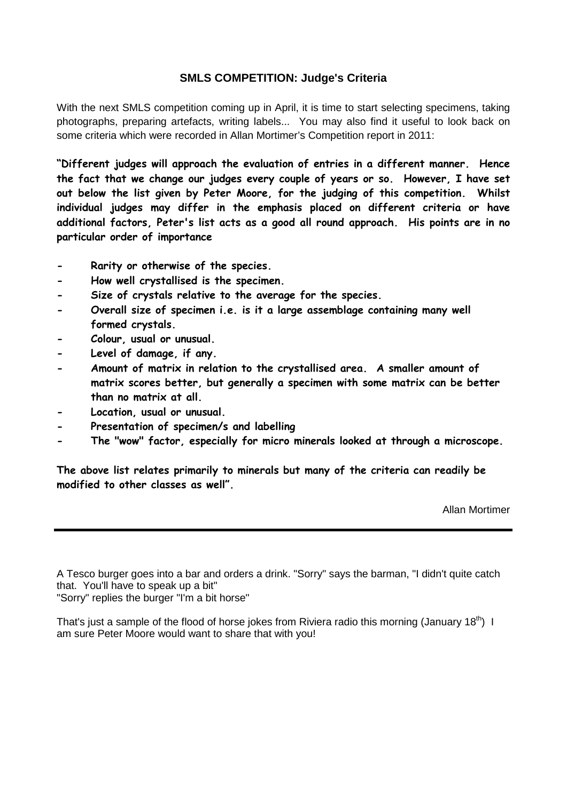## **SMLS COMPETITION: Judge's Criteria**

With the next SMLS competition coming up in April, it is time to start selecting specimens, taking photographs, preparing artefacts, writing labels... You may also find it useful to look back on some criteria which were recorded in Allan Mortimer's Competition report in 2011:

**"Different judges will approach the evaluation of entries in a different manner. Hence the fact that we change our judges every couple of years or so. However, I have set out below the list given by Peter Moore, for the judging of this competition. Whilst individual judges may differ in the emphasis placed on different criteria or have additional factors, Peter's list acts as a good all round approach. His points are in no particular order of importance**

- **- Rarity or otherwise of the species.**
- **- How well crystallised is the specimen.**
- **- Size of crystals relative to the average for the species.**
- **- Overall size of specimen i.e. is it a large assemblage containing many well formed crystals.**
- **- Colour, usual or unusual.**
- **- Level of damage, if any.**
- **- Amount of matrix in relation to the crystallised area. A smaller amount of matrix scores better, but generally a specimen with some matrix can be better than no matrix at all.**
- **- Location, usual or unusual.**
- **- Presentation of specimen/s and labelling**
- **- The "wow" factor, especially for micro minerals looked at through a microscope.**

**The above list relates primarily to minerals but many of the criteria can readily be modified to other classes as well".**

Allan Mortimer

A Tesco burger goes into a bar and orders a drink. "Sorry" says the barman, "I didn't quite catch that. You'll have to speak up a bit"

"Sorry" replies the burger "I'm a bit horse"

That's just a sample of the flood of horse jokes from Riviera radio this morning (January 18<sup>th</sup>) I am sure Peter Moore would want to share that with you!